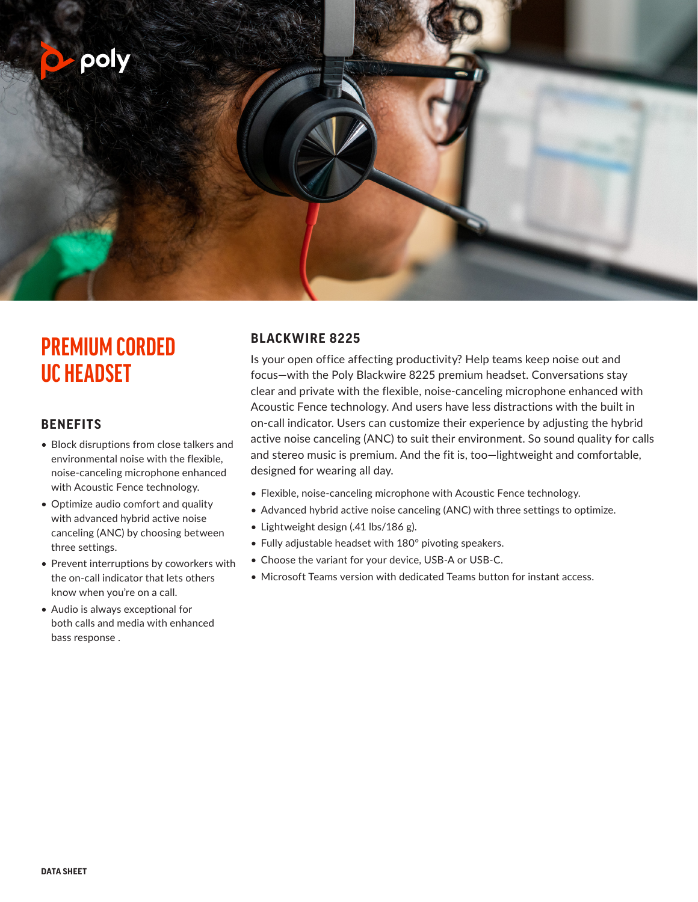

# **PREMIUM CORDED UC HEADSET**

### **BENEFITS**

- Block disruptions from close talkers and environmental noise with the flexible, noise-canceling microphone enhanced with Acoustic Fence technology.
- Optimize audio comfort and quality with advanced hybrid active noise canceling (ANC) by choosing between three settings.
- Prevent interruptions by coworkers with the on-call indicator that lets others know when you're on a call.
- Audio is always exceptional for both calls and media with enhanced bass response .

# **BLACKWIRE 8225**

Is your open office affecting productivity? Help teams keep noise out and focus—with the Poly Blackwire 8225 premium headset. Conversations stay clear and private with the flexible, noise-canceling microphone enhanced with Acoustic Fence technology. And users have less distractions with the built in on-call indicator. Users can customize their experience by adjusting the hybrid active noise canceling (ANC) to suit their environment. So sound quality for calls and stereo music is premium. And the fit is, too—lightweight and comfortable, designed for wearing all day.

- Flexible, noise-canceling microphone with Acoustic Fence technology.
- Advanced hybrid active noise canceling (ANC) with three settings to optimize.
- Lightweight design (.41 lbs/186 g).
- Fully adjustable headset with 180º pivoting speakers.
- Choose the variant for your device, USB-A or USB-C.
- Microsoft Teams version with dedicated Teams button for instant access.